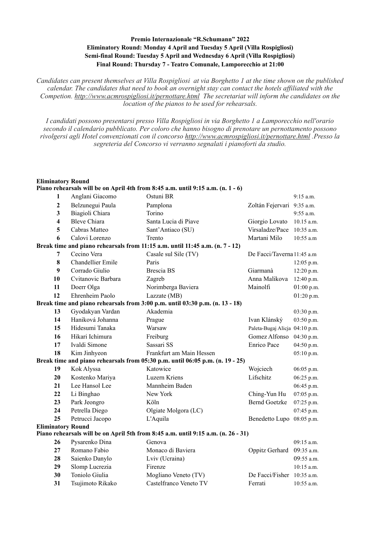## **Premio Internazionale "R.Schumann" 2022 Eliminatory Round: Monday 4 April and Tuesday 5 April (Villa Rospigliosi) Semi-final Round: Tuesday 5 April and Wednesday 6 April (Villa Rospigliosi) Final Round: Thursday 7 - Teatro Comunale, Lamporecchio at 21:00**

*Candidates can present themselves at Villa Rospigliosi at via Borghetto 1 at the time shown on the published calendar. The candidates that need to book an overnight stay can contact the hotels affiliated with the Competion. <http://www.acmrospigliosi.it/pernottare.html>The secretariat will inform the candidates on the location of the pianos to be used for rehearsals.* 

*I candidati possono presentarsi presso Villa Rospigliosi in via Borghetto 1 a Lamporecchio nell'orario secondo il calendario pubblicato. Per coloro che hanno bisogno di prenotare un pernottamento possono rivolgersi agli Hotel convenzionati con il concorso <http://www.acmrospigliosi.it/pernottare.html> .Presso la segreteria del Concorso vi verranno segnalati i pianoforti da studio.* 

## **Eliminatory Round Piano rehearsals will be on April 4th from 8:45 a.m. until 9:15 a.m. (n. 1 - 6) 1** Anglani Giacomo Ostuni BR 9:15 a.m. **2** Belzunegui Paula Pamplona Zoltán Fejervari 9:35 a.m. **3** Biagioli Chiara Torino **19:55** a.m. **4** Bleve Chiara Santa Lucia di Piave Giorgio Lovato 10.15 a.m. **5** Cabras Matteo Sant'Antiaco (SU) Virsaladze/Pace 10:35 a.m. **6** Calovi Lorenzo Trento Martani Milo 10:55 a.m **Break time and piano rehearsals from 11:15 a.m. until 11:45 a.m. (n. 7 - 12) 7** Cecino Vera Casale sul Sile (TV) De Facci/Taverna 11:45 a.m **8** Chandellier Emile Paris 12:05 p.m. **9** Corrado Giulio Brescia BS Giarmanà 12:20 p.m.  **10** Cvitanovic Barbara Zagreb Anna Malikova 12:40 p.m. **11** Doerr Olga **Norimberga Baviera** Mainolfi 01:00 p.m. **12** Ehrenheim Paolo Lazzate (MB) 01:20 p.m. **Break time and piano rehearsals from 3:00 p.m. until 03:30 p.m. (n. 13 - 18) 13** Gyodakyan Vardan Akademia **13** Gyodakyan Vardan **Akademia** 03:30 p.m. **14** Haniková Johanna Prague Ivan Klánský 03:50 p.m. **15** Hidesumi Tanaka Warsaw Paleta-Bugaj Alicja 04:10 p.m. **16** Hikari Ichimura Freiburg Freiburg Gomez Alfonso 04:30 p.m. **17** Ivaldi Simone Sassari SS Enrico Pace 04:50 p.m. **18** Kim Jinhyeon Frankfurt am Main Hessen 05:10 p.m. **Break time and piano rehearsals from 05:30 p.m. until 06:05 p.m. (n. 19 - 25) 19** Kok Alyssa Katowice Wojciech 06:05 p.m. **20** Kostenko Mariya Luzern Kriens Lifschitz 06:25 p.m. **21** Lee Hansol Lee Mannheim Baden 06:45 p.m. **22** Li Binghao New York Ching-Yun Hu 07:05 p.m. **23** Park Jeongro Köln Köln Bernd Goetzke 07:25 p.m. **24** Petrella Diego Olgiate Molgora (LC) 07:45 p.m. **25** Petrucci Jacopo L'Aquila Benedetto Lupo 08:05 p.m. **Eliminatory Round Piano rehearsals will be on April 5th from 8:45 a.m. until 9:15 a.m. (n. 26 - 31) 26** Pysarenko Dina Genova **Genova** 09:15 a.m.

 Romano Fabio Monaco di Baviera **Oppitz Gerhard** 09:35 a.m. Saienko Danylo Lviv (Ucraina) 09:55 a.m. Slomp Lucrezia Firenze 10:15 a.m. Toniolo Giulia Mogliano Veneto (TV) De Facci/Fisher 10:35 a.m. Tsujimoto Rikako Castelfranco Veneto TV Ferrati 10:55 a.m.